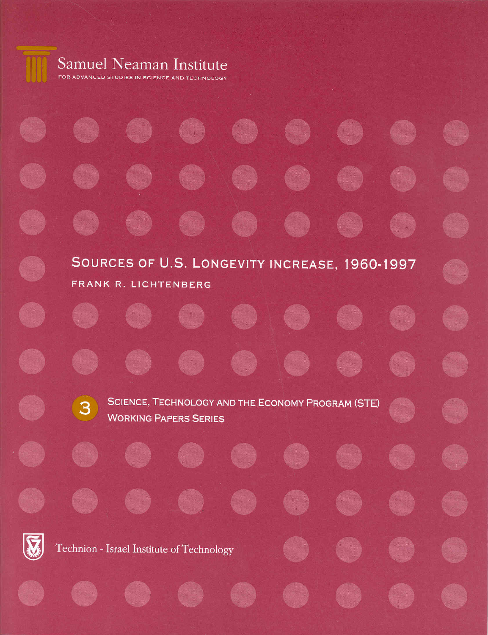Samuel Neaman Institute  $FOP$ ADVANCED STUDIES IN SCIENCE AND TECHNOLOGY

Garti

A.

SOURCES OF U.S. LONGEVITY INCREASE, 1960-1997 FRANK R. LICHTENBERG

63

**CO** 

an d

C.

**AND** 

**Communication** 

**OD** 

GB

 $\left( \begin{array}{ccc} \end{array} \right)$ 

C.

 $\left( \begin{array}{c} 0 \\ 0 \end{array} \right)$ 

3

SCIENCE, TECHNOLOGY AND THE ECONOMY PROGRAM (STE) **WORKING PAPERS SERIES** 

G

**OCT** 

**O O O** 



Technion - Israel Institute of Technology

 $\left( \begin{matrix} 0 \\ 0 \end{matrix} \right)$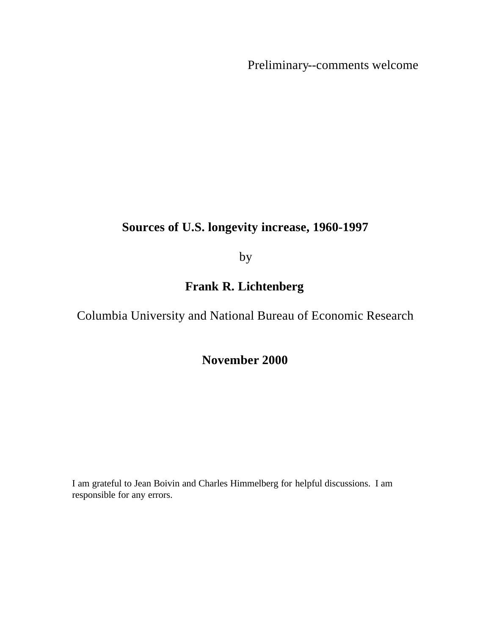Preliminary--comments welcome

# **Sources of U.S. longevity increase, 1960-1997**

by

# **Frank R. Lichtenberg**

Columbia University and National Bureau of Economic Research

## **November 2000**

I am grateful to Jean Boivin and Charles Himmelberg for helpful discussions. I am responsible for any errors.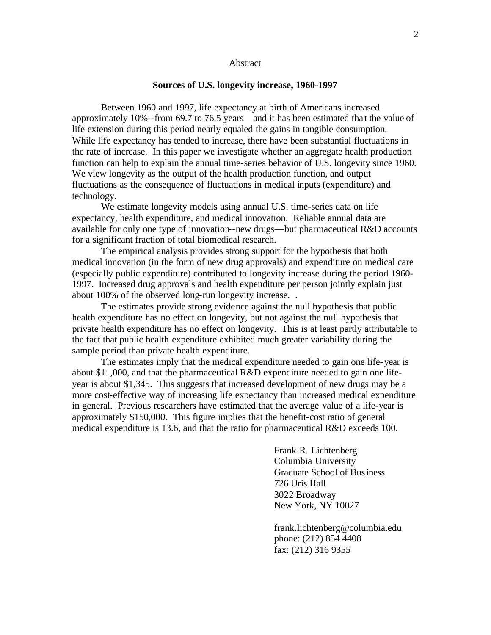#### Abstract

#### **Sources of U.S. longevity increase, 1960-1997**

Between 1960 and 1997, life expectancy at birth of Americans increased approximately 10%--from 69.7 to 76.5 years—and it has been estimated tha t the value of life extension during this period nearly equaled the gains in tangible consumption. While life expectancy has tended to increase, there have been substantial fluctuations in the rate of increase. In this paper we investigate whether an aggregate health production function can help to explain the annual time-series behavior of U.S. longevity since 1960. We view longevity as the output of the health production function, and output fluctuations as the consequence of fluctuations in medical inputs (expenditure) and technology.

We estimate longevity models using annual U.S. time-series data on life expectancy, health expenditure, and medical innovation. Reliable annual data are available for only one type of innovation--new drugs—but pharmaceutical R&D accounts for a significant fraction of total biomedical research.

The empirical analysis provides strong support for the hypothesis that both medical innovation (in the form of new drug approvals) and expenditure on medical care (especially public expenditure) contributed to longevity increase during the period 1960- 1997. Increased drug approvals and health expenditure per person jointly explain just about 100% of the observed long-run longevity increase. .

The estimates provide strong evidence against the null hypothesis that public health expenditure has no effect on longevity, but not against the null hypothesis that private health expenditure has no effect on longevity. This is at least partly attributable to the fact that public health expenditure exhibited much greater variability during the sample period than private health expenditure.

The estimates imply that the medical expenditure needed to gain one life-year is about \$11,000, and that the pharmaceutical R&D expenditure needed to gain one lifeyear is about \$1,345. This suggests that increased development of new drugs may be a more cost-effective way of increasing life expectancy than increased medical expenditure in general. Previous researchers have estimated that the average value of a life-year is approximately \$150,000. This figure implies that the benefit-cost ratio of general medical expenditure is 13.6, and that the ratio for pharmaceutical R&D exceeds 100.

> Frank R. Lichtenberg Columbia University Graduate School of Business 726 Uris Hall 3022 Broadway New York, NY 10027

frank.lichtenberg@columbia.edu phone: (212) 854 4408 fax: (212) 316 9355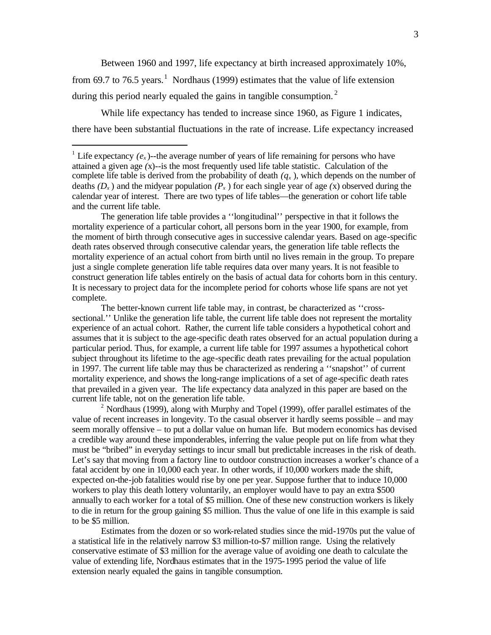Between 1960 and 1997, life expectancy at birth increased approximately 10%, from 69.7 to 76.5 years.<sup>1</sup> Nordhaus (1999) estimates that the value of life extension during this period nearly equaled the gains in tangible consumption.<sup>2</sup>

While life expectancy has tended to increase since 1960, as Figure 1 indicates, there have been substantial fluctuations in the rate of increase. Life expectancy increased

 $\overline{a}$ 

The generation life table provides a ''longitudinal'' perspective in that it follows the mortality experience of a particular cohort, all persons born in the year 1900, for example, from the moment of birth through consecutive ages in successive calendar years. Based on age-specific death rates observed through consecutive calendar years, the generation life table reflects the mortality experience of an actual cohort from birth until no lives remain in the group. To prepare just a single complete generation life table requires data over many years. It is not feasible to construct generation life tables entirely on the basis of actual data for cohorts born in this century. It is necessary to project data for the incomplete period for cohorts whose life spans are not yet complete.

The better-known current life table may, in contrast, be characterized as ''crosssectional.'' Unlike the generation life table, the current life table does not represent the mortality experience of an actual cohort. Rather, the current life table considers a hypothetical cohort and assumes that it is subject to the age-specific death rates observed for an actual population during a particular period. Thus, for example, a current life table for 1997 assumes a hypothetical cohort subject throughout its lifetime to the age-specific death rates prevailing for the actual population in 1997. The current life table may thus be characterized as rendering a ''snapshot'' of current mortality experience, and shows the long-range implications of a set of age-specific death rates that prevailed in a given year. The life expectancy data analyzed in this paper are based on the current life table, not on the generation life table.

 $2$  Nordhaus (1999), along with Murphy and Topel (1999), offer parallel estimates of the value of recent increases in longevity. To the casual observer it hardly seems possible – and may seem morally offensive – to put a dollar value on human life. But modern economics has devised a credible way around these imponderables, inferring the value people put on life from what they must be "bribed" in everyday settings to incur small but predictable increases in the risk of death. Let's say that moving from a factory line to outdoor construction increases a worker's chance of a fatal accident by one in 10,000 each year. In other words, if 10,000 workers made the shift, expected on-the-job fatalities would rise by one per year. Suppose further that to induce 10,000 workers to play this death lottery voluntarily, an employer would have to pay an extra \$500 annually to each worker for a total of \$5 million. One of these new construction workers is likely to die in return for the group gaining \$5 million. Thus the value of one life in this example is said to be \$5 million.

Estimates from the dozen or so work-related studies since the mid-1970s put the value of a statistical life in the relatively narrow \$3 million-to-\$7 million range. Using the relatively conservative estimate of \$3 million for the average value of avoiding one death to calculate the value of extending life, Nordhaus estimates that in the 1975-1995 period the value of life extension nearly equaled the gains in tangible consumption.

<sup>&</sup>lt;sup>1</sup> Life expectancy  $(e_x)$ --the average number of years of life remaining for persons who have attained a given age *(*x)--is the most frequently used life table statistic. Calculation of the complete life table is derived from the probability of death  $(q_x)$ , which depends on the number of deaths  $(D_x)$  and the midyear population  $(P_x)$  for each single year of age  $(x)$  observed during the calendar year of interest. There are two types of life tables—the generation or cohort life table and the current life table.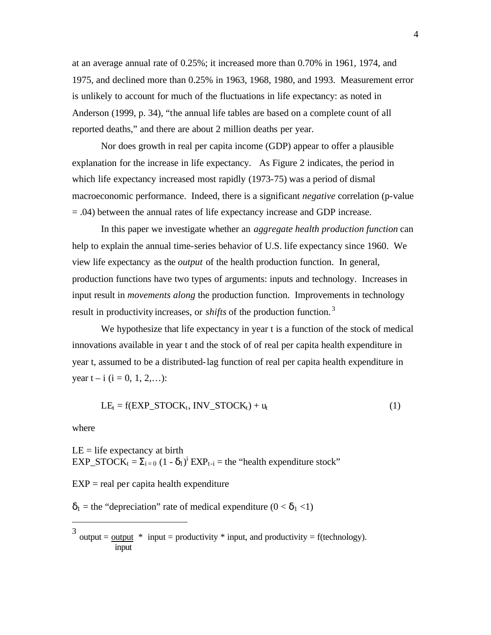at an average annual rate of 0.25%; it increased more than 0.70% in 1961, 1974, and 1975, and declined more than 0.25% in 1963, 1968, 1980, and 1993. Measurement error is unlikely to account for much of the fluctuations in life expectancy: as noted in Anderson (1999, p. 34), "the annual life tables are based on a complete count of all reported deaths," and there are about 2 million deaths per year.

Nor does growth in real per capita income (GDP) appear to offer a plausible explanation for the increase in life expectancy. As Figure 2 indicates, the period in which life expectancy increased most rapidly (1973-75) was a period of dismal macroeconomic performance. Indeed, there is a significant *negative* correlation (p-value = .04) between the annual rates of life expectancy increase and GDP increase.

In this paper we investigate whether an *aggregate health production function* can help to explain the annual time-series behavior of U.S. life expectancy since 1960. We view life expectancy as the *output* of the health production function. In general, production functions have two types of arguments: inputs and technology. Increases in input result in *movements along* the production function. Improvements in technology result in productivity increases, or *shifts* of the production function. <sup>3</sup>

We hypothesize that life expectancy in year t is a function of the stock of medical innovations available in year t and the stock of of real per capita health expenditure in year t, assumed to be a distributed-lag function of real per capita health expenditure in year  $t - i$  ( $i = 0, 1, 2,...$ ):

$$
LEt = f(EXP_STOCKt, INV_STOCKt) + ut
$$
\n(1)

where

 $\overline{a}$ 

 $LE = life$  expectancy at birth  $EXP\_STOCK_t = \sum_{i=0} (1 - \delta_1)^i EXP_{t-i}$  = the "health expenditure stock"

 $EXP = real$  per capita health expenditure

 $\delta_1$  = the "depreciation" rate of medical expenditure (0 <  $\delta_1$  < 1)

<sup>3</sup> output = <u>output</u> \* input = productivity \* input, and productivity = f(technology). input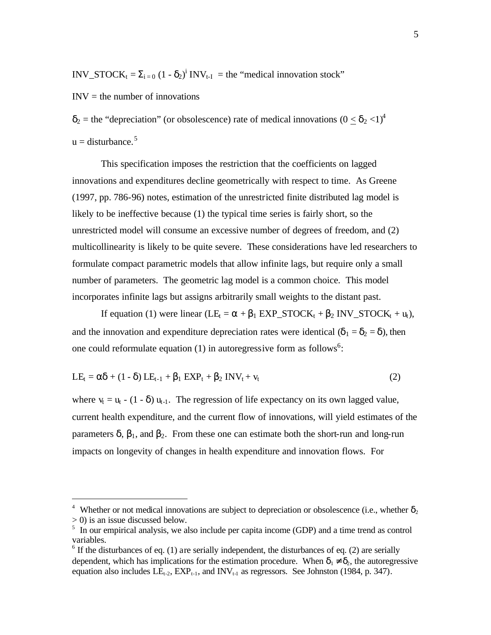INV\_STOC $K_t = \sum_{i=0} (1 - \delta_2)^i INV_{t-1}$  = the "medical innovation stock"

## $INV =$  the number of innovations

 $\delta_2$  = the "depreciation" (or obsolescence) rate of medical innovations (0 <  $\delta_2$  <1)<sup>4</sup>  $u =$  disturbance.<sup>5</sup>

This specification imposes the restriction that the coefficients on lagged innovations and expenditures decline geometrically with respect to time. As Greene (1997, pp. 786-96) notes, estimation of the unrestricted finite distributed lag model is likely to be ineffective because (1) the typical time series is fairly short, so the unrestricted model will consume an excessive number of degrees of freedom, and (2) multicollinearity is likely to be quite severe. These considerations have led researchers to formulate compact parametric models that allow infinite lags, but require only a small number of parameters. The geometric lag model is a common choice. This model incorporates infinite lags but assigns arbitrarily small weights to the distant past.

If equation (1) were linear ( $LE_t = \alpha + \beta_1 EXP\_STOCK_t + \beta_2 INV\_STOCK_t + u_t$ ), and the innovation and expenditure depreciation rates were identical ( $\delta_1 = \delta_2 = \delta$ ), then one could reformulate equation (1) in autoregressive form as follows<sup>6</sup>:

$$
LEt = \alpha \delta + (1 - \delta) LEt-1 + \beta_1 EXPt + \beta_2 INVt + vt
$$
 (2)

where  $v_t = u_t - (1 - \delta) u_{t-1}$ . The regression of life expectancy on its own lagged value, current health expenditure, and the current flow of innovations, will yield estimates of the parameters  $\delta$ ,  $\beta_1$ , and  $\beta_2$ . From these one can estimate both the short-run and long-run impacts on longevity of changes in health expenditure and innovation flows. For

<sup>&</sup>lt;sup>4</sup> Whether or not medical innovations are subject to depreciation or obsolescence (i.e., whether  $\delta_2$ > 0) is an issue discussed below. 5 In our empirical analysis, we also include per capita income (GDP) and a time trend as control

variables.

 $6$  If the disturbances of eq. (1) are serially independent, the disturbances of eq. (2) are serially dependent, which has implications for the estimation procedure. When  $\delta_1 \neq \delta_2$ , the autoregressive equation also includes  $LE_{t-2}$ ,  $EXP_{t-1}$ , and  $INV_{t-1}$  as regressors. See Johnston (1984, p. 347).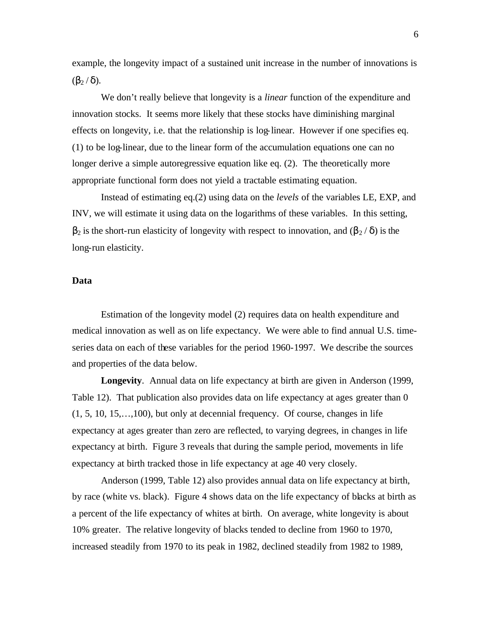example, the longevity impact of a sustained unit increase in the number of innovations is  $(\beta_2/\delta)$ .

We don't really believe that longevity is a *linear* function of the expenditure and innovation stocks. It seems more likely that these stocks have diminishing marginal effects on longevity, i.e. that the relationship is log-linear. However if one specifies eq. (1) to be log-linear, due to the linear form of the accumulation equations one can no longer derive a simple autoregressive equation like eq. (2). The theoretically more appropriate functional form does not yield a tractable estimating equation.

Instead of estimating eq.(2) using data on the *levels* of the variables LE, EXP, and INV, we will estimate it using data on the logarithms of these variables. In this setting,  $β<sub>2</sub>$  is the short-run elasticity of longevity with respect to innovation, and  $(β<sub>2</sub>/δ)$  is the long-run elasticity.

### **Data**

Estimation of the longevity model (2) requires data on health expenditure and medical innovation as well as on life expectancy. We were able to find annual U.S. timeseries data on each of these variables for the period 1960-1997. We describe the sources and properties of the data below.

**Longevity**. Annual data on life expectancy at birth are given in Anderson (1999, Table 12). That publication also provides data on life expectancy at ages greater than 0  $(1, 5, 10, 15, \ldots, 100)$ , but only at decennial frequency. Of course, changes in life expectancy at ages greater than zero are reflected, to varying degrees, in changes in life expectancy at birth. Figure 3 reveals that during the sample period, movements in life expectancy at birth tracked those in life expectancy at age 40 very closely.

Anderson (1999, Table 12) also provides annual data on life expectancy at birth, by race (white vs. black). Figure 4 shows data on the life expectancy of blacks at birth as a percent of the life expectancy of whites at birth. On average, white longevity is about 10% greater. The relative longevity of blacks tended to decline from 1960 to 1970, increased steadily from 1970 to its peak in 1982, declined steadily from 1982 to 1989,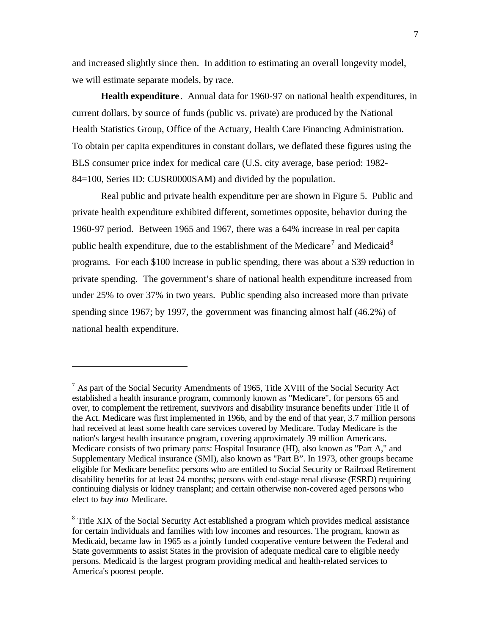and increased slightly since then. In addition to estimating an overall longevity model, we will estimate separate models, by race.

**Health expenditure** . Annual data for 1960-97 on national health expenditures, in current dollars, by source of funds (public vs. private) are produced by the National Health Statistics Group, Office of the Actuary, Health Care Financing Administration. To obtain per capita expenditures in constant dollars, we deflated these figures using the BLS consumer price index for medical care (U.S. city average, base period: 1982- 84=100, Series ID: CUSR0000SAM) and divided by the population.

Real public and private health expenditure per are shown in Figure 5. Public and private health expenditure exhibited different, sometimes opposite, behavior during the 1960-97 period. Between 1965 and 1967, there was a 64% increase in real per capita public health expenditure, due to the establishment of the Medicare<sup>7</sup> and Medicaid<sup>8</sup> programs. For each \$100 increase in public spending, there was about a \$39 reduction in private spending. The government's share of national health expenditure increased from under 25% to over 37% in two years. Public spending also increased more than private spending since 1967; by 1997, the government was financing almost half (46.2%) of national health expenditure.

<sup>&</sup>lt;sup>7</sup> As part of the Social Security Amendments of 1965, Title XVIII of the Social Security Act established a health insurance program, commonly known as "Medicare", for persons 65 and over, to complement the retirement, survivors and disability insurance benefits under Title II of the Act. Medicare was first implemented in 1966, and by the end of that year, 3.7 million persons had received at least some health care services covered by Medicare. Today Medicare is the nation's largest health insurance program, covering approximately 39 million Americans. Medicare consists of two primary parts: Hospital Insurance (HI), also known as "Part A," and Supplementary Medical insurance (SMI), also known as "Part B". In 1973, other groups became eligible for Medicare benefits: persons who are entitled to Social Security or Railroad Retirement disability benefits for at least 24 months; persons with end-stage renal disease (ESRD) requiring continuing dialysis or kidney transplant; and certain otherwise non-covered aged persons who elect to *buy into* Medicare.

<sup>&</sup>lt;sup>8</sup> Title XIX of the Social Security Act established a program which provides medical assistance for certain individuals and families with low incomes and resources. The program, known as Medicaid, became law in 1965 as a jointly funded cooperative venture between the Federal and State governments to assist States in the provision of adequate medical care to eligible needy persons. Medicaid is the largest program providing medical and health-related services to America's poorest people.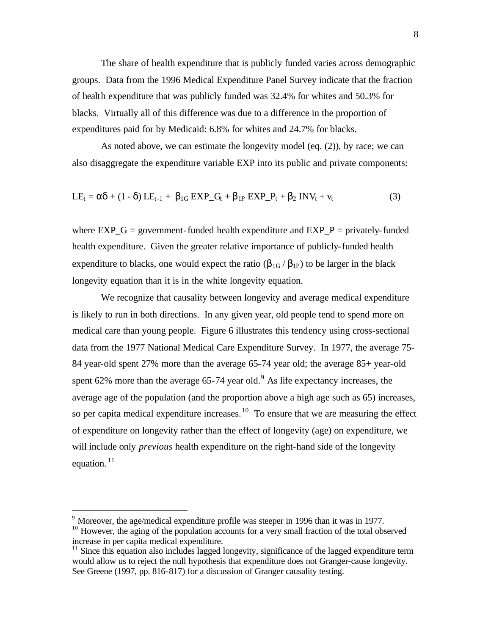The share of health expenditure that is publicly funded varies across demographic groups. Data from the 1996 Medical Expenditure Panel Survey indicate that the fraction of health expenditure that was publicly funded was 32.4% for whites and 50.3% for blacks. Virtually all of this difference was due to a difference in the proportion of expenditures paid for by Medicaid: 6.8% for whites and 24.7% for blacks.

As noted above, we can estimate the longevity model (eq. (2)), by race; we can also disaggregate the expenditure variable EXP into its public and private components:

$$
LE_t = \alpha \delta + (1 - \delta) LE_{t-1} + \beta_{1G} EXP\_G_t + \beta_{1P} EXP\_P_t + \beta_2 INV_t + v_t
$$
 (3)

where EXP  $G =$  government-funded health expenditure and EXP  $P =$  privately-funded health expenditure. Given the greater relative importance of publicly-funded health expenditure to blacks, one would expect the ratio  $(\beta_{1G}/\beta_{1P})$  to be larger in the black longevity equation than it is in the white longevity equation.

We recognize that causality between longevity and average medical expenditure is likely to run in both directions. In any given year, old people tend to spend more on medical care than young people. Figure 6 illustrates this tendency using cross-sectional data from the 1977 National Medical Care Expenditure Survey. In 1977, the average 75- 84 year-old spent 27% more than the average 65-74 year old; the average 85+ year-old spent 62% more than the average 65-74 year old.  $9$  As life expectancy increases, the average age of the population (and the proportion above a high age such as 65) increases, so per capita medical expenditure increases.<sup>10</sup> To ensure that we are measuring the effect of expenditure on longevity rather than the effect of longevity (age) on expenditure, we will include only *previous* health expenditure on the right-hand side of the longevity equation.  $^{11}$ 

<sup>&</sup>lt;sup>9</sup> Moreover, the age/medical expenditure profile was steeper in 1996 than it was in 1977.

<sup>&</sup>lt;sup>10</sup> However, the aging of the population accounts for a very small fraction of the total observed increase in per capita medical expenditure.

 $11$  Since this equation also includes lagged longevity, significance of the lagged expenditure term would allow us to reject the null hypothesis that expenditure does not Granger-cause longevity. See Greene (1997, pp. 816-817) for a discussion of Granger causality testing.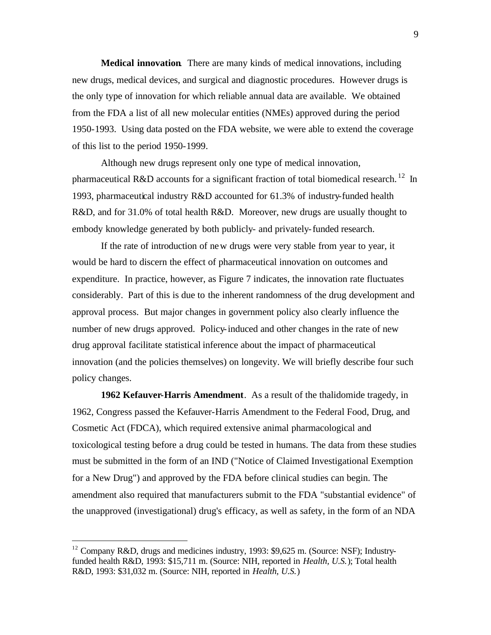**Medical innovation**. There are many kinds of medical innovations, including new drugs, medical devices, and surgical and diagnostic procedures. However drugs is the only type of innovation for which reliable annual data are available. We obtained from the FDA a list of all new molecular entities (NMEs) approved during the period 1950-1993. Using data posted on the FDA website, we were able to extend the coverage of this list to the period 1950-1999.

Although new drugs represent only one type of medical innovation, pharmaceutical R&D accounts for a significant fraction of total biomedical research.<sup>12</sup> In 1993, pharmaceutical industry R&D accounted for 61.3% of industry-funded health R&D, and for 31.0% of total health R&D. Moreover, new drugs are usually thought to embody knowledge generated by both publicly- and privately-funded research.

If the rate of introduction of new drugs were very stable from year to year, it would be hard to discern the effect of pharmaceutical innovation on outcomes and expenditure. In practice, however, as Figure 7 indicates, the innovation rate fluctuates considerably. Part of this is due to the inherent randomness of the drug development and approval process. But major changes in government policy also clearly influence the number of new drugs approved. Policy-induced and other changes in the rate of new drug approval facilitate statistical inference about the impact of pharmaceutical innovation (and the policies themselves) on longevity. We will briefly describe four such policy changes.

**1962 Kefauver-Harris Amendment**. As a result of the thalidomide tragedy, in 1962, Congress passed the Kefauver-Harris Amendment to the Federal Food, Drug, and Cosmetic Act (FDCA), which required extensive animal pharmacological and toxicological testing before a drug could be tested in humans. The data from these studies must be submitted in the form of an IND ("Notice of Claimed Investigational Exemption for a New Drug") and approved by the FDA before clinical studies can begin. The amendment also required that manufacturers submit to the FDA "substantial evidence" of the unapproved (investigational) drug's efficacy, as well as safety, in the form of an NDA

 $12$  Company R&D, drugs and medicines industry, 1993: \$9,625 m. (Source: NSF); Industryfunded health R&D, 1993: \$15,711 m. (Source: NIH, reported in *Health, U.S.*); Total health R&D, 1993: \$31,032 m. (Source: NIH, reported in *Health, U.S.*)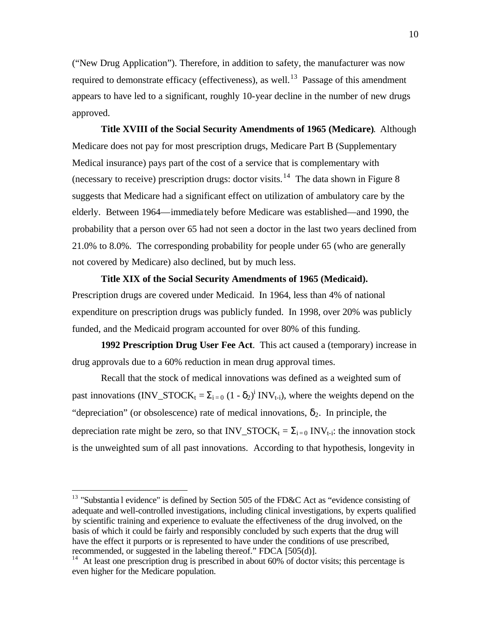("New Drug Application"). Therefore, in addition to safety, the manufacturer was now required to demonstrate efficacy (effectiveness), as well.<sup>13</sup> Passage of this amendment appears to have led to a significant, roughly 10-year decline in the number of new drugs approved.

**Title XVIII of the Social Security Amendments of 1965 (Medicare)**. Although Medicare does not pay for most prescription drugs, Medicare Part B (Supplementary Medical insurance) pays part of the cost of a service that is complementary with (necessary to receive) prescription drugs: doctor visits.<sup>14</sup> The data shown in Figure 8 suggests that Medicare had a significant effect on utilization of ambulatory care by the elderly. Between 1964—immediately before Medicare was established—and 1990, the probability that a person over 65 had not seen a doctor in the last two years declined from 21.0% to 8.0%. The corresponding probability for people under 65 (who are generally not covered by Medicare) also declined, but by much less.

### **Title XIX of the Social Security Amendments of 1965 (Medicaid).**

Prescription drugs are covered under Medicaid.In 1964, less than 4% of national expenditure on prescription drugs was publicly funded. In 1998, over 20% was publicly funded, and the Medicaid program accounted for over 80% of this funding.

**1992 Prescription Drug User Fee Act**. This act caused a (temporary) increase in drug approvals due to a 60% reduction in mean drug approval times.

Recall that the stock of medical innovations was defined as a weighted sum of past innovations (INV\_STOCK<sub>t</sub> =  $\Sigma_{i=0}$  (1 -  $\delta_2$ )<sup>i</sup> INV<sub>t-i</sub>), where the weights depend on the "depreciation" (or obsolescence) rate of medical innovations,  $\delta_2$ . In principle, the depreciation rate might be zero, so that INV\_STOCK<sub>t</sub> =  $\Sigma_{i=0}$  INV<sub>t-i</sub>: the innovation stock is the unweighted sum of all past innovations. According to that hypothesis, longevity in

<sup>&</sup>lt;sup>13</sup> "Substantia l evidence" is defined by Section 505 of the FD&C Act as "evidence consisting of adequate and well-controlled investigations, including clinical investigations, by experts qualified by scientific training and experience to evaluate the effectiveness of the drug involved, on the basis of which it could be fairly and responsibly concluded by such experts that the drug will have the effect it purports or is represented to have under the conditions of use prescribed, recommended, or suggested in the labeling thereof." FDCA [505(d)].

<sup>&</sup>lt;sup>14</sup> At least one prescription drug is prescribed in about 60% of doctor visits; this percentage is even higher for the Medicare population.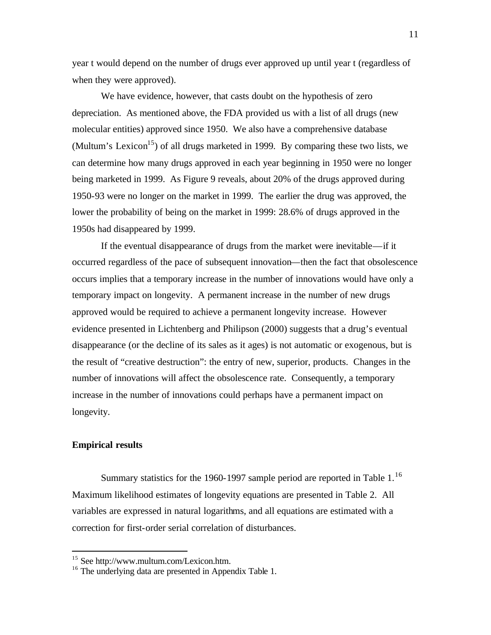year t would depend on the number of drugs ever approved up until year t (regardless of when they were approved).

We have evidence, however, that casts doubt on the hypothesis of zero depreciation. As mentioned above, the FDA provided us with a list of all drugs (new molecular entities) approved since 1950. We also have a comprehensive database (Multum's Lexicon<sup>15</sup>) of all drugs marketed in 1999. By comparing these two lists, we can determine how many drugs approved in each year beginning in 1950 were no longer being marketed in 1999. As Figure 9 reveals, about 20% of the drugs approved during 1950-93 were no longer on the market in 1999. The earlier the drug was approved, the lower the probability of being on the market in 1999: 28.6% of drugs approved in the 1950s had disappeared by 1999.

If the eventual disappearance of drugs from the market were inevitable—if it occurred regardless of the pace of subsequent innovation—then the fact that obsolescence occurs implies that a temporary increase in the number of innovations would have only a temporary impact on longevity. A permanent increase in the number of new drugs approved would be required to achieve a permanent longevity increase. However evidence presented in Lichtenberg and Philipson (2000) suggests that a drug's eventual disappearance (or the decline of its sales as it ages) is not automatic or exogenous, but is the result of "creative destruction": the entry of new, superior, products. Changes in the number of innovations will affect the obsolescence rate. Consequently, a temporary increase in the number of innovations could perhaps have a permanent impact on longevity.

#### **Empirical results**

 $\overline{a}$ 

Summary statistics for the 1960-1997 sample period are reported in Table  $1<sup>16</sup>$ Maximum likelihood estimates of longevity equations are presented in Table 2. All variables are expressed in natural logarithms, and all equations are estimated with a correction for first-order serial correlation of disturbances.

<sup>&</sup>lt;sup>15</sup> See http://www.multum.com/Lexicon.htm.

<sup>&</sup>lt;sup>16</sup> The underlying data are presented in Appendix Table 1.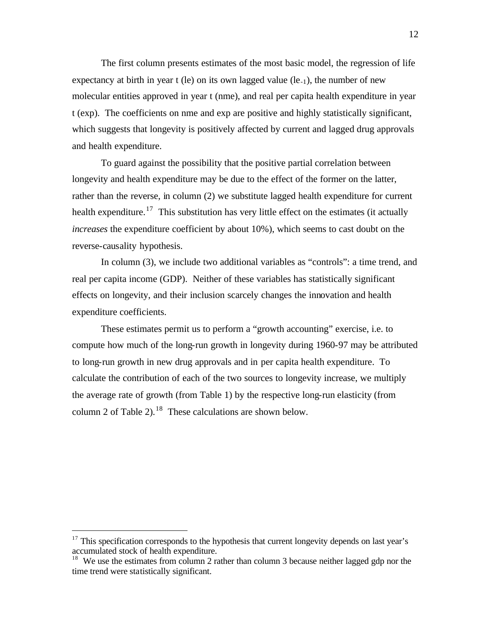The first column presents estimates of the most basic model, the regression of life expectancy at birth in year t (le) on its own lagged value  $(le_{-1})$ , the number of new molecular entities approved in year t (nme), and real per capita health expenditure in year t (exp). The coefficients on nme and exp are positive and highly statistically significant, which suggests that longevity is positively affected by current and lagged drug approvals and health expenditure.

To guard against the possibility that the positive partial correlation between longevity and health expenditure may be due to the effect of the former on the latter, rather than the reverse, in column (2) we substitute lagged health expenditure for current health expenditure.<sup>17</sup> This substitution has very little effect on the estimates (it actually *increases* the expenditure coefficient by about 10%), which seems to cast doubt on the reverse-causality hypothesis.

In column (3), we include two additional variables as "controls": a time trend, and real per capita income (GDP). Neither of these variables has statistically significant effects on longevity, and their inclusion scarcely changes the innovation and health expenditure coefficients.

These estimates permit us to perform a "growth accounting" exercise, i.e. to compute how much of the long-run growth in longevity during 1960-97 may be attributed to long-run growth in new drug approvals and in per capita health expenditure. To calculate the contribution of each of the two sources to longevity increase, we multiply the average rate of growth (from Table 1) by the respective long-run elasticity (from column 2 of Table 2).<sup>18</sup> These calculations are shown below.

 $17$  This specification corresponds to the hypothesis that current longevity depends on last year's accumulated stock of health expenditure.

<sup>&</sup>lt;sup>18</sup> We use the estimates from column 2 rather than column 3 because neither lagged gdp nor the time trend were statistically significant.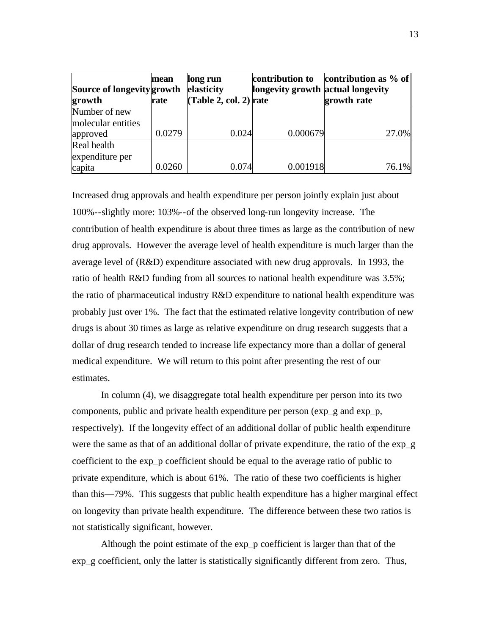|                            | mean   | long run                 | contribution to                   | contribution as $%$ of |
|----------------------------|--------|--------------------------|-----------------------------------|------------------------|
| Source of longevity growth |        | elasticity               | longevity growth actual longevity |                        |
| growth                     | rate   | $(Table 2, col. 2)$ rate |                                   | growth rate            |
| Number of new              |        |                          |                                   |                        |
| molecular entities         |        |                          |                                   |                        |
| approved                   | 0.0279 | 0.024                    | 0.000679                          | 27.0%                  |
| Real health                |        |                          |                                   |                        |
| expenditure per            |        |                          |                                   |                        |
| capita                     | 0.0260 | 0.074                    | 0.001918                          | 76.1%                  |

Increased drug approvals and health expenditure per person jointly explain just about 100%--slightly more: 103%--of the observed long-run longevity increase. The contribution of health expenditure is about three times as large as the contribution of new drug approvals. However the average level of health expenditure is much larger than the average level of (R&D) expenditure associated with new drug approvals. In 1993, the ratio of health R&D funding from all sources to national health expenditure was 3.5%; the ratio of pharmaceutical industry R&D expenditure to national health expenditure was probably just over 1%. The fact that the estimated relative longevity contribution of new drugs is about 30 times as large as relative expenditure on drug research suggests that a dollar of drug research tended to increase life expectancy more than a dollar of general medical expenditure. We will return to this point after presenting the rest of our estimates.

In column (4), we disaggregate total health expenditure per person into its two components, public and private health expenditure per person (exp\_g and exp\_p, respectively). If the longevity effect of an additional dollar of public health expenditure were the same as that of an additional dollar of private expenditure, the ratio of the exp\_g coefficient to the exp\_p coefficient should be equal to the average ratio of public to private expenditure, which is about 61%. The ratio of these two coefficients is higher than this—79%. This suggests that public health expenditure has a higher marginal effect on longevity than private health expenditure. The difference between these two ratios is not statistically significant, however.

Although the point estimate of the exp\_p coefficient is larger than that of the exp g coefficient, only the latter is statistically significantly different from zero. Thus,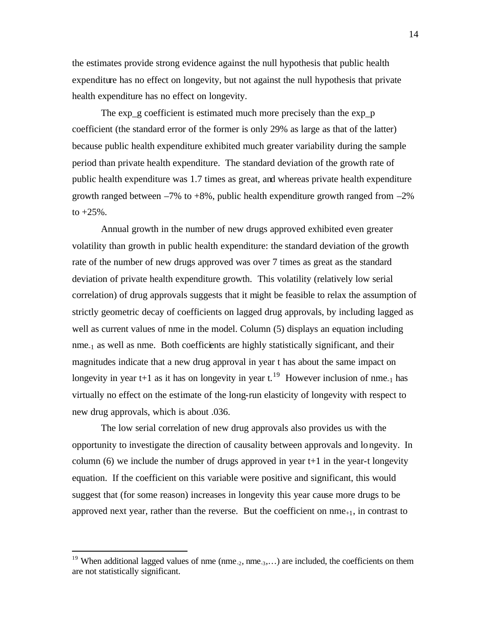the estimates provide strong evidence against the null hypothesis that public health expenditure has no effect on longevity, but not against the null hypothesis that private health expenditure has no effect on longevity.

The exp\_g coefficient is estimated much more precisely than the exp\_p coefficient (the standard error of the former is only 29% as large as that of the latter) because public health expenditure exhibited much greater variability during the sample period than private health expenditure. The standard deviation of the growth rate of public health expenditure was 1.7 times as great, and whereas private health expenditure growth ranged between  $-7\%$  to  $+8\%$ , public health expenditure growth ranged from  $-2\%$ to  $+25%$ .

Annual growth in the number of new drugs approved exhibited even greater volatility than growth in public health expenditure: the standard deviation of the growth rate of the number of new drugs approved was over 7 times as great as the standard deviation of private health expenditure growth. This volatility (relatively low serial correlation) of drug approvals suggests that it might be feasible to relax the assumption of strictly geometric decay of coefficients on lagged drug approvals, by including lagged as well as current values of nme in the model. Column (5) displays an equation including nme-1 as well as nme. Both coefficients are highly statistically significant, and their magnitudes indicate that a new drug approval in year t has about the same impact on longevity in year t+1 as it has on longevity in year t.<sup>19</sup> However inclusion of nme<sub>-1</sub> has virtually no effect on the estimate of the long-run elasticity of longevity with respect to new drug approvals, which is about .036.

The low serial correlation of new drug approvals also provides us with the opportunity to investigate the direction of causality between approvals and longevity. In column (6) we include the number of drugs approved in year  $t+1$  in the year-t longevity equation. If the coefficient on this variable were positive and significant, this would suggest that (for some reason) increases in longevity this year cause more drugs to be approved next year, rather than the reverse. But the coefficient on  $nme_{+1}$ , in contrast to

<sup>&</sup>lt;sup>19</sup> When additional lagged values of nme (nme<sub>-2</sub>, nme<sub>-3</sub>,...) are included, the coefficients on them are not statistically significant.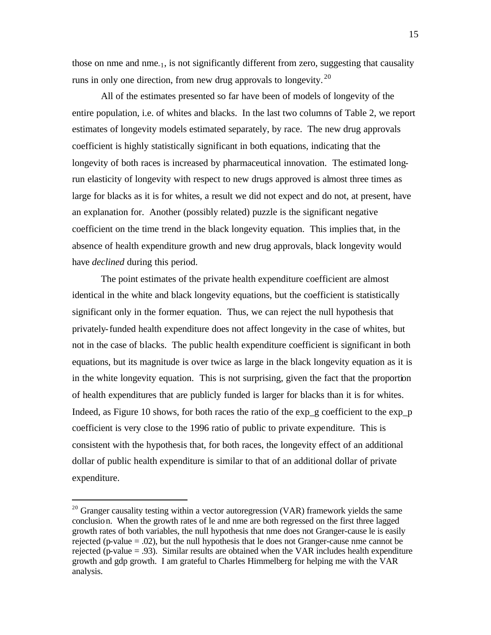those on nme and nme-1, is not significantly different from zero, suggesting that causality runs in only one direction, from new drug approvals to longevity.  $20$ 

All of the estimates presented so far have been of models of longevity of the entire population, i.e. of whites and blacks. In the last two columns of Table 2, we report estimates of longevity models estimated separately, by race. The new drug approvals coefficient is highly statistically significant in both equations, indicating that the longevity of both races is increased by pharmaceutical innovation. The estimated longrun elasticity of longevity with respect to new drugs approved is almost three times as large for blacks as it is for whites, a result we did not expect and do not, at present, have an explanation for. Another (possibly related) puzzle is the significant negative coefficient on the time trend in the black longevity equation. This implies that, in the absence of health expenditure growth and new drug approvals, black longevity would have *declined* during this period.

The point estimates of the private health expenditure coefficient are almost identical in the white and black longevity equations, but the coefficient is statistically significant only in the former equation. Thus, we can reject the null hypothesis that privately-funded health expenditure does not affect longevity in the case of whites, but not in the case of blacks. The public health expenditure coefficient is significant in both equations, but its magnitude is over twice as large in the black longevity equation as it is in the white longevity equation. This is not surprising, given the fact that the proportion of health expenditures that are publicly funded is larger for blacks than it is for whites. Indeed, as Figure 10 shows, for both races the ratio of the  $\exp g$  coefficient to the  $\exp p$ coefficient is very close to the 1996 ratio of public to private expenditure. This is consistent with the hypothesis that, for both races, the longevity effect of an additional dollar of public health expenditure is similar to that of an additional dollar of private expenditure.

 $20$  Granger causality testing within a vector autoregression (VAR) framework yields the same conclusion. When the growth rates of le and nme are both regressed on the first three lagged growth rates of both variables, the null hypothesis that nme does not Granger-cause le is easily rejected (p-value  $= .02$ ), but the null hypothesis that le does not Granger-cause nme cannot be rejected (p-value = .93). Similar results are obtained when the VAR includes health expenditure growth and gdp growth. I am grateful to Charles Himmelberg for helping me with the VAR analysis.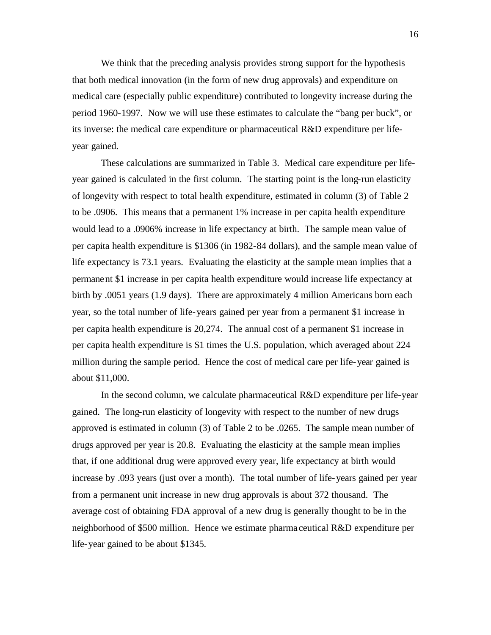We think that the preceding analysis provides strong support for the hypothesis that both medical innovation (in the form of new drug approvals) and expenditure on medical care (especially public expenditure) contributed to longevity increase during the period 1960-1997. Now we will use these estimates to calculate the "bang per buck", or its inverse: the medical care expenditure or pharmaceutical R&D expenditure per lifeyear gained.

These calculations are summarized in Table 3. Medical care expenditure per lifeyear gained is calculated in the first column. The starting point is the long-run elasticity of longevity with respect to total health expenditure, estimated in column (3) of Table 2 to be .0906. This means that a permanent 1% increase in per capita health expenditure would lead to a .0906% increase in life expectancy at birth. The sample mean value of per capita health expenditure is \$1306 (in 1982-84 dollars), and the sample mean value of life expectancy is 73.1 years. Evaluating the elasticity at the sample mean implies that a permanent \$1 increase in per capita health expenditure would increase life expectancy at birth by .0051 years (1.9 days). There are approximately 4 million Americans born each year, so the total number of life-years gained per year from a permanent \$1 increase in per capita health expenditure is 20,274. The annual cost of a permanent \$1 increase in per capita health expenditure is \$1 times the U.S. population, which averaged about 224 million during the sample period. Hence the cost of medical care per life-year gained is about \$11,000.

In the second column, we calculate pharmaceutical R&D expenditure per life-year gained. The long-run elasticity of longevity with respect to the number of new drugs approved is estimated in column (3) of Table 2 to be .0265. The sample mean number of drugs approved per year is 20.8. Evaluating the elasticity at the sample mean implies that, if one additional drug were approved every year, life expectancy at birth would increase by .093 years (just over a month). The total number of life-years gained per year from a permanent unit increase in new drug approvals is about 372 thousand. The average cost of obtaining FDA approval of a new drug is generally thought to be in the neighborhood of \$500 million. Hence we estimate pharma ceutical R&D expenditure per life-year gained to be about \$1345.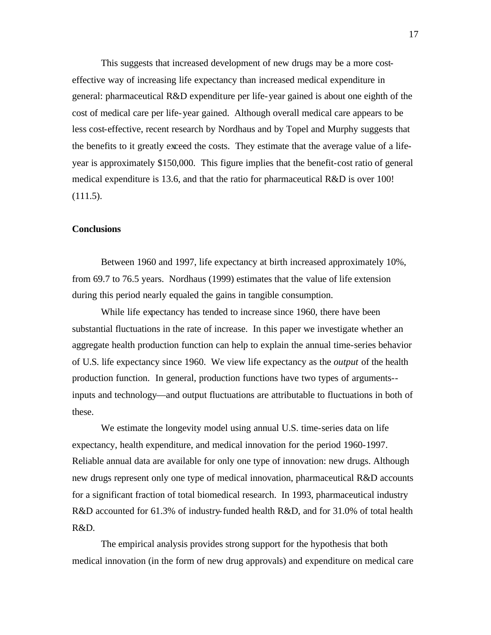This suggests that increased development of new drugs may be a more costeffective way of increasing life expectancy than increased medical expenditure in general: pharmaceutical R&D expenditure per life-year gained is about one eighth of the cost of medical care per life-year gained. Although overall medical care appears to be less cost-effective, recent research by Nordhaus and by Topel and Murphy suggests that the benefits to it greatly exceed the costs. They estimate that the average value of a lifeyear is approximately \$150,000. This figure implies that the benefit-cost ratio of general medical expenditure is 13.6, and that the ratio for pharmaceutical R&D is over 100!  $(111.5).$ 

### **Conclusions**

Between 1960 and 1997, life expectancy at birth increased approximately 10%, from 69.7 to 76.5 years. Nordhaus (1999) estimates that the value of life extension during this period nearly equaled the gains in tangible consumption.

While life expectancy has tended to increase since 1960, there have been substantial fluctuations in the rate of increase. In this paper we investigate whether an aggregate health production function can help to explain the annual time-series behavior of U.S. life expectancy since 1960. We view life expectancy as the *output* of the health production function. In general, production functions have two types of arguments- inputs and technology—and output fluctuations are attributable to fluctuations in both of these.

We estimate the longevity model using annual U.S. time-series data on life expectancy, health expenditure, and medical innovation for the period 1960-1997. Reliable annual data are available for only one type of innovation: new drugs. Although new drugs represent only one type of medical innovation, pharmaceutical R&D accounts for a significant fraction of total biomedical research. In 1993, pharmaceutical industry R&D accounted for 61.3% of industry-funded health R&D, and for 31.0% of total health R&D.

The empirical analysis provides strong support for the hypothesis that both medical innovation (in the form of new drug approvals) and expenditure on medical care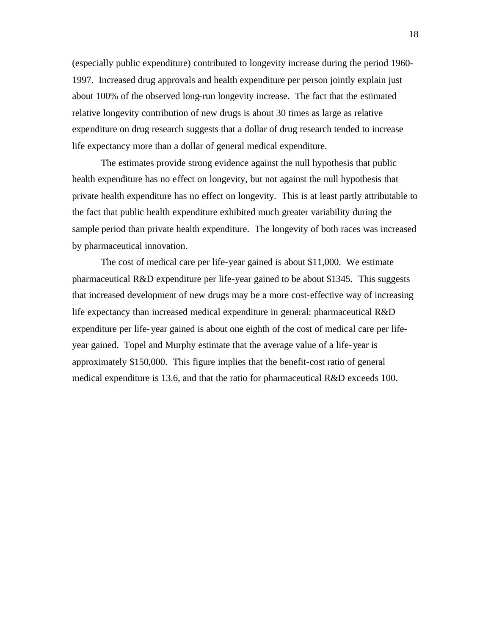(especially public expenditure) contributed to longevity increase during the period 1960- 1997. Increased drug approvals and health expenditure per person jointly explain just about 100% of the observed long-run longevity increase. The fact that the estimated relative longevity contribution of new drugs is about 30 times as large as relative expenditure on drug research suggests that a dollar of drug research tended to increase life expectancy more than a dollar of general medical expenditure.

The estimates provide strong evidence against the null hypothesis that public health expenditure has no effect on longevity, but not against the null hypothesis that private health expenditure has no effect on longevity. This is at least partly attributable to the fact that public health expenditure exhibited much greater variability during the sample period than private health expenditure. The longevity of both races was increased by pharmaceutical innovation.

The cost of medical care per life-year gained is about \$11,000. We estimate pharmaceutical R&D expenditure per life-year gained to be about \$1345. This suggests that increased development of new drugs may be a more cost-effective way of increasing life expectancy than increased medical expenditure in general: pharmaceutical R&D expenditure per life-year gained is about one eighth of the cost of medical care per lifeyear gained. Topel and Murphy estimate that the average value of a life-year is approximately \$150,000. This figure implies that the benefit-cost ratio of general medical expenditure is 13.6, and that the ratio for pharmaceutical R&D exceeds 100.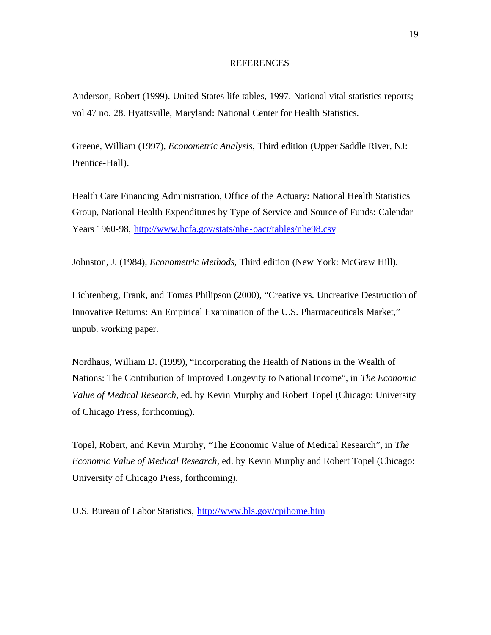#### **REFERENCES**

Anderson, Robert (1999). United States life tables, 1997. National vital statistics reports; vol 47 no. 28. Hyattsville, Maryland: National Center for Health Statistics.

Greene, William (1997), *Econometric Analysis*, Third edition (Upper Saddle River, NJ: Prentice-Hall).

Health Care Financing Administration, Office of the Actuary: National Health Statistics Group, National Health Expenditures by Type of Service and Source of Funds: Calendar Years 1960-98, http://www.hcfa.gov/stats/nhe-oact/tables/nhe98.csv

Johnston, J. (1984), *Econometric Methods*, Third edition (New York: McGraw Hill).

Lichtenberg, Frank, and Tomas Philipson (2000), "Creative vs. Uncreative Destruc tion of Innovative Returns: An Empirical Examination of the U.S. Pharmaceuticals Market," unpub. working paper.

Nordhaus, William D. (1999), "Incorporating the Health of Nations in the Wealth of Nations: The Contribution of Improved Longevity to National Income", in *The Economic Value of Medical Research*, ed. by Kevin Murphy and Robert Topel (Chicago: University of Chicago Press, forthcoming).

Topel, Robert, and Kevin Murphy, "The Economic Value of Medical Research", in *The Economic Value of Medical Research*, ed. by Kevin Murphy and Robert Topel (Chicago: University of Chicago Press, forthcoming).

U.S. Bureau of Labor Statistics, http://www.bls.gov/cpihome.htm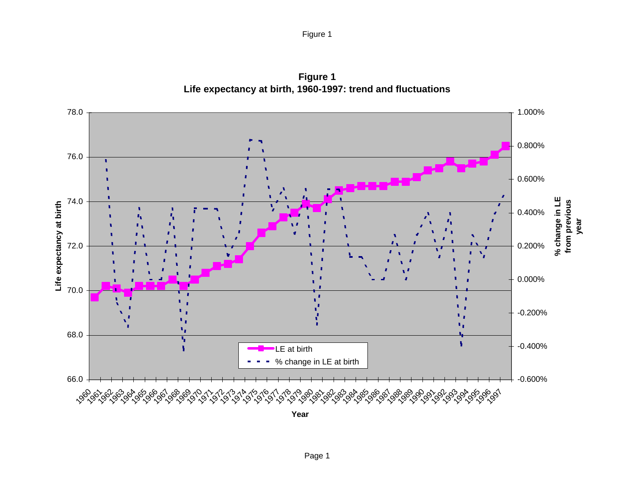Figure 1

**Figure 1 Life expectancy at birth, 1960-1997: trend and fluctuations**



**Year**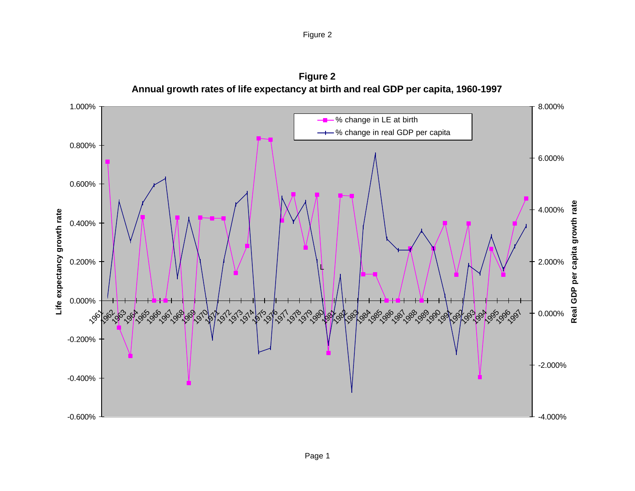

**Figure 2 Annual growth rates of life expectancy at birth and real GDP per capita, 1960-1997**

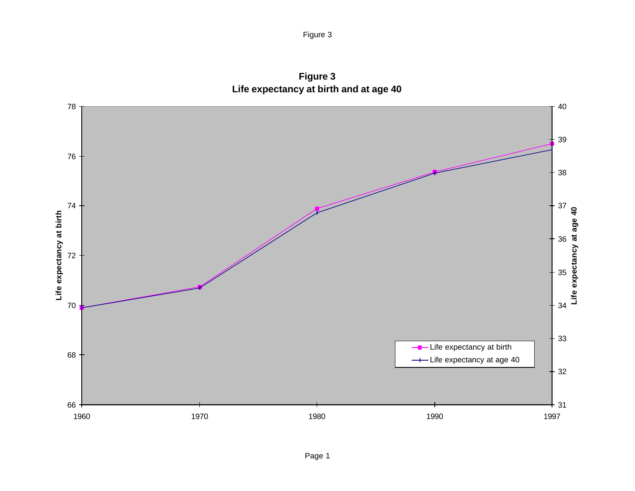**Figure 3 Life expectancy at birth and at age 40**

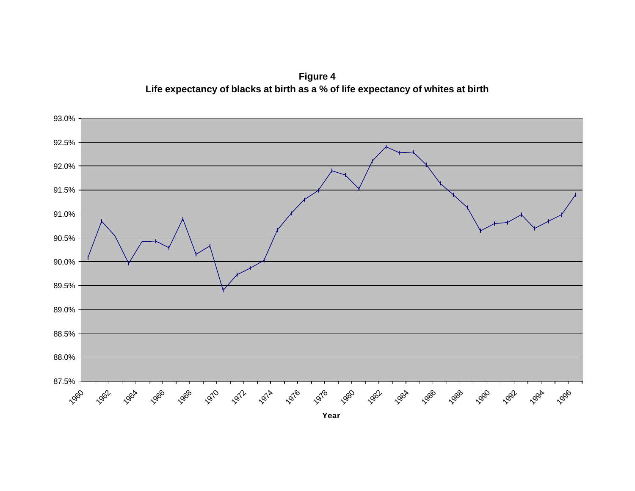**Figure 4 Life expectancy of blacks at birth as a % of life expectancy of whites at birth**

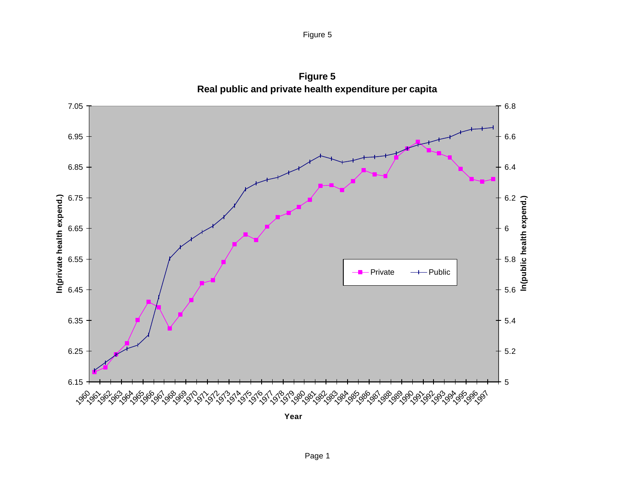

**Figure 5 Real public and private health expenditure per capita**

Figure 5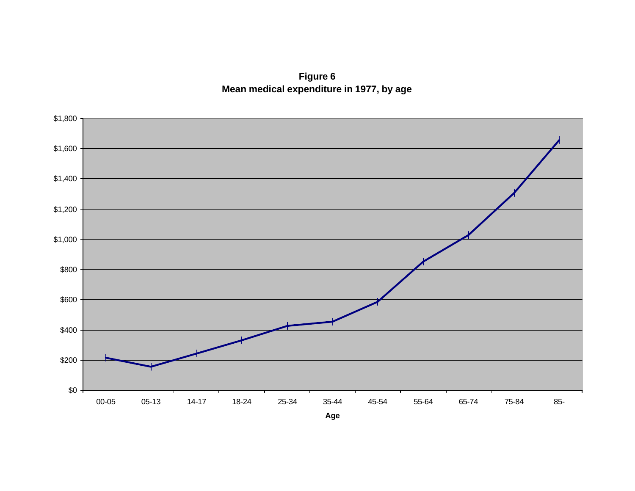**Figure 6 Mean medical expenditure in 1977, by age**

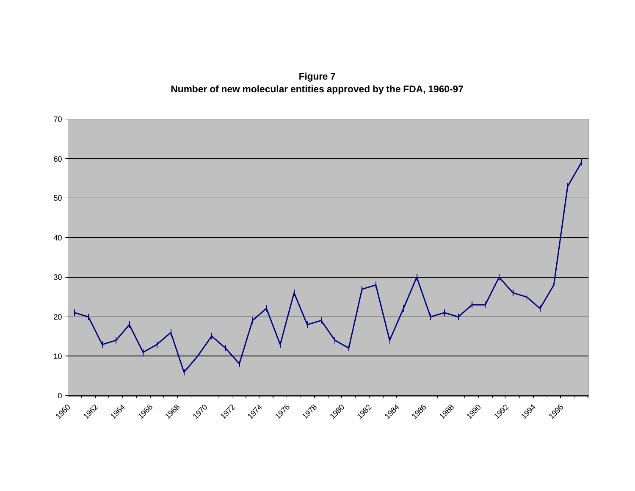**Figure 7 Number of new molecular entities approved by the FDA, 1960-97** 

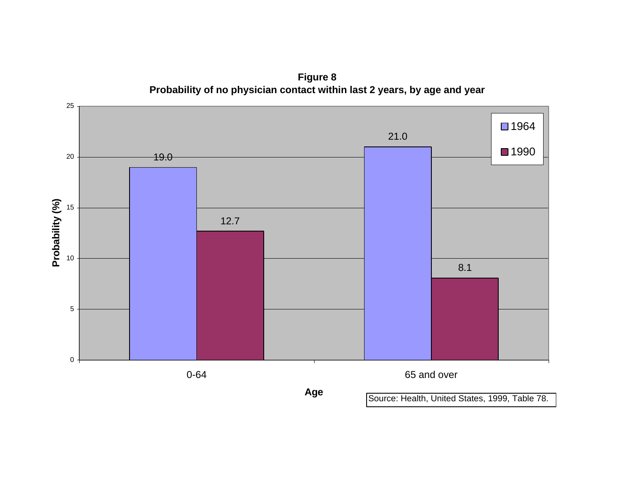25 ■1964 21.0 ■1990 20 19.0 Probability (%) **Probability (%)** 15 12.7 10 8.1 5  $0<sup>1</sup>$ 0-64 65 and over **Age** Source: Health, United States, 1999, Table 78.

**Figure 8 Probability of no physician contact within last 2 years, by age and year**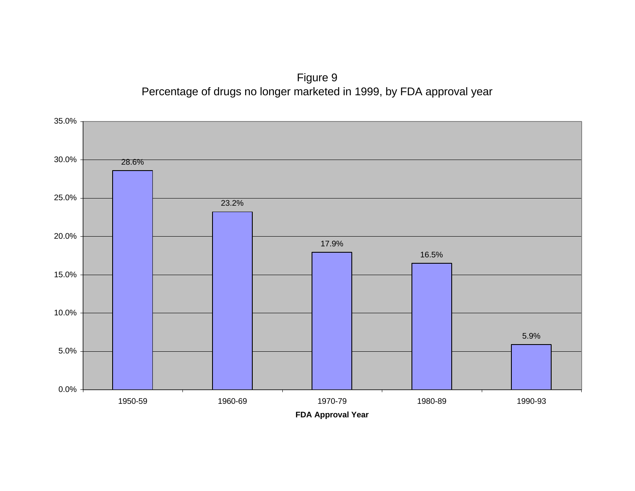Figure 9 Percentage of drugs no longer marketed in 1999, by FDA approval year

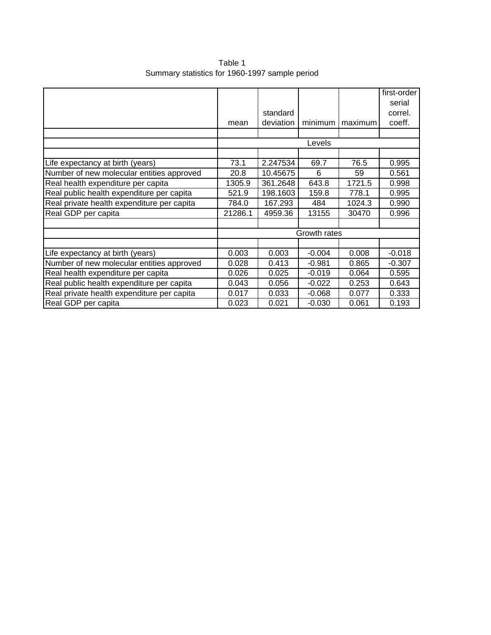Table 1 Summary statistics for 1960-1997 sample period

|                                            |         |              |          |         | first-order |
|--------------------------------------------|---------|--------------|----------|---------|-------------|
|                                            |         |              |          |         | serial      |
|                                            |         | standard     |          |         | correl.     |
|                                            | mean    | deviation    | minimum  | maximum | coeff.      |
|                                            |         |              |          |         |             |
|                                            |         |              | Levels   |         |             |
|                                            |         |              |          |         |             |
| Life expectancy at birth (years)           | 73.1    | 2.247534     | 69.7     | 76.5    | 0.995       |
| Number of new molecular entities approved  | 20.8    | 10.45675     | 6        | 59      | 0.561       |
| Real health expenditure per capita         | 1305.9  | 361.2648     | 643.8    | 1721.5  | 0.998       |
| Real public health expenditure per capita  | 521.9   | 198.1603     | 159.8    | 778.1   | 0.995       |
| Real private health expenditure per capita | 784.0   | 167.293      | 484      | 1024.3  | 0.990       |
| Real GDP per capita                        | 21286.1 | 4959.36      | 13155    | 30470   | 0.996       |
|                                            |         |              |          |         |             |
|                                            |         | Growth rates |          |         |             |
|                                            |         |              |          |         |             |
| Life expectancy at birth (years)           | 0.003   | 0.003        | $-0.004$ | 0.008   | $-0.018$    |
| Number of new molecular entities approved  | 0.028   | 0.413        | $-0.981$ | 0.865   | $-0.307$    |
| Real health expenditure per capita         | 0.026   | 0.025        | $-0.019$ | 0.064   | 0.595       |
| Real public health expenditure per capita  | 0.043   | 0.056        | $-0.022$ | 0.253   | 0.643       |
| Real private health expenditure per capita | 0.017   | 0.033        | $-0.068$ | 0.077   | 0.333       |
| Real GDP per capita                        | 0.023   | 0.021        | $-0.030$ | 0.061   | 0.193       |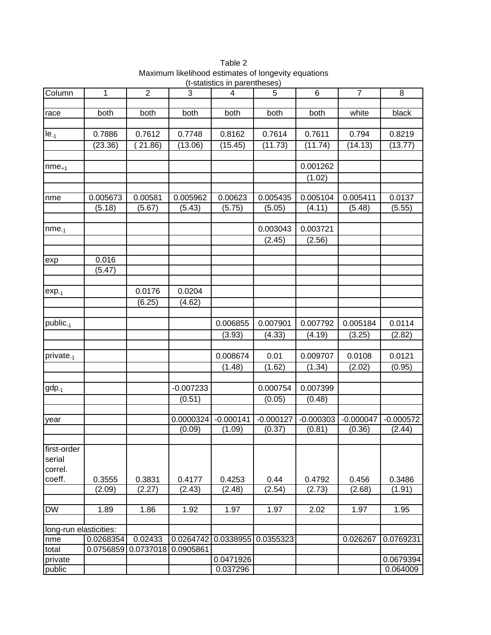|                        |              |                |             | <i>(ג</i> אסוואוס ווו parchium) (ג |             |             |                |             |
|------------------------|--------------|----------------|-------------|------------------------------------|-------------|-------------|----------------|-------------|
| Column                 | $\mathbf{1}$ | $\overline{2}$ | 3           | 4                                  | 5           | 6           | $\overline{7}$ | 8           |
|                        |              |                |             |                                    |             |             |                |             |
| race                   | both         | both           | both        | both                               | both        | both        | white          | black       |
| $le_{-1}$              | 0.7886       | 0.7612         | 0.7748      | 0.8162                             | 0.7614      | 0.7611      | 0.794          | 0.8219      |
|                        | (23.36)      | 21.86)         | (13.06)     | (15.45)                            | (11.73)     | (11.74)     | (14.13)        | (13.77)     |
|                        |              |                |             |                                    |             |             |                |             |
| $nme+1$                |              |                |             |                                    |             | 0.001262    |                |             |
|                        |              |                |             |                                    |             | (1.02)      |                |             |
|                        |              |                |             |                                    |             |             |                |             |
| nme                    | 0.005673     | 0.00581        | 0.005962    | 0.00623                            | 0.005435    | 0.005104    | 0.005411       | 0.0137      |
|                        | (5.18)       | (5.67)         | (5.43)      | (5.75)                             | (5.05)      | (4.11)      | (5.48)         | (5.55)      |
|                        |              |                |             |                                    |             |             |                |             |
| $nme_{-1}$             |              |                |             |                                    | 0.003043    | 0.003721    |                |             |
|                        |              |                |             |                                    | (2.45)      | (2.56)      |                |             |
|                        |              |                |             |                                    |             |             |                |             |
| exp                    | 0.016        |                |             |                                    |             |             |                |             |
|                        | (5.47)       |                |             |                                    |             |             |                |             |
|                        |              |                |             |                                    |             |             |                |             |
| $exp_{-1}$             |              | 0.0176         | 0.0204      |                                    |             |             |                |             |
|                        |              | (6.25)         | (4.62)      |                                    |             |             |                |             |
|                        |              |                |             |                                    |             |             |                |             |
| public <sub>-1</sub>   |              |                |             | 0.006855                           | 0.007901    | 0.007792    | 0.005184       | 0.0114      |
|                        |              |                |             | (3.93)                             | (4.33)      | (4.19)      | (3.25)         | (2.82)      |
|                        |              |                |             | 0.008674                           | 0.01        | 0.009707    |                |             |
| private <sub>-1</sub>  |              |                |             |                                    |             |             | 0.0108         | 0.0121      |
|                        |              |                |             | (1.48)                             | (1.62)      | (1.34)      | (2.02)         | (0.95)      |
|                        |              |                | $-0.007233$ |                                    | 0.000754    | 0.007399    |                |             |
| $gdp_{-1}$             |              |                |             |                                    | (0.05)      |             |                |             |
|                        |              |                | (0.51)      |                                    |             | (0.48)      |                |             |
| year                   |              |                | 0.0000324   | $-0.000141$                        | $-0.000127$ | $-0.000303$ | $-0.000047$    | $-0.000572$ |
|                        |              |                | (0.09)      | (1.09)                             | (0.37)      | (0.81)      | (0.36)         | (2.44)      |
|                        |              |                |             |                                    |             |             |                |             |
| first-order            |              |                |             |                                    |             |             |                |             |
| serial                 |              |                |             |                                    |             |             |                |             |
| correl.                |              |                |             |                                    |             |             |                |             |
| coeff.                 | 0.3555       | 0.3831         | 0.4177      | 0.4253                             | 0.44        | 0.4792      | 0.456          | 0.3486      |
|                        | (2.09)       | (2.27)         | (2.43)      | (2.48)                             | (2.54)      | (2.73)      | (2.68)         | (1.91)      |
|                        |              |                |             |                                    |             |             |                |             |
| <b>DW</b>              | 1.89         | 1.86           | 1.92        | 1.97                               | 1.97        | 2.02        | 1.97           | 1.95        |
| long-run elasticities: |              |                |             |                                    |             |             |                |             |
| nme                    | 0.0268354    | 0.02433        | 0.0264742   | 0.0338955                          | 0.0355323   |             | 0.026267       | 0.0769231   |
| total                  | 0.0756859    | 0.0737018      | 0.0905861   |                                    |             |             |                |             |
| private                |              |                |             | 0.0471926                          |             |             |                | 0.0679394   |
| public                 |              |                |             | 0.037296                           |             |             |                | 0.064009    |
|                        |              |                |             |                                    |             |             |                |             |

Table 2 Maximum likelihood estimates of longevity equations (t-statistics in parentheses)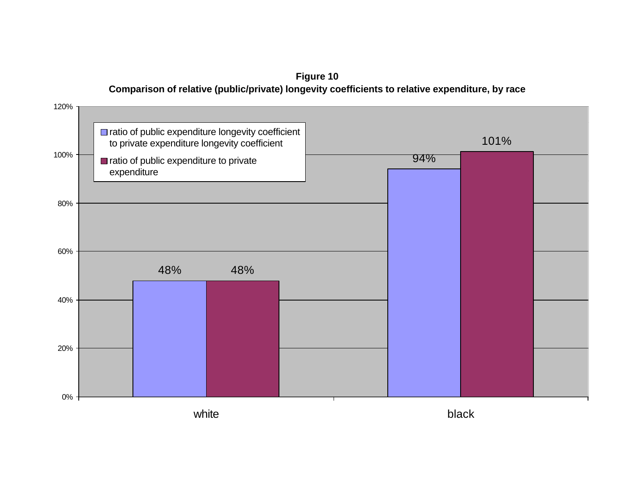**Figure 10 Comparison of relative (public/private) longevity coefficients to relative expenditure, by race** 

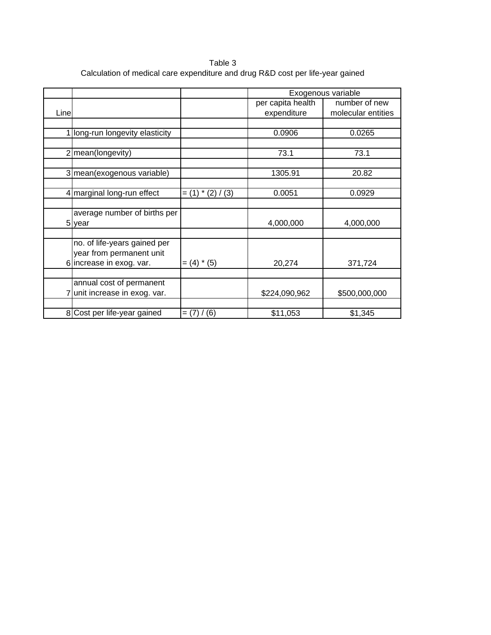Table 3 Calculation of medical care expenditure and drug R&D cost per life-year gained

|      |                               |                        | Exogenous variable |                    |  |
|------|-------------------------------|------------------------|--------------------|--------------------|--|
|      |                               |                        | per capita health  | number of new      |  |
| Line |                               |                        | expenditure        | molecular entities |  |
|      |                               |                        |                    |                    |  |
|      | long-run longevity elasticity |                        | 0.0906             | 0.0265             |  |
|      |                               |                        |                    |                    |  |
|      | 2 mean(longevity)             |                        | 73.1               | 73.1               |  |
|      |                               |                        |                    |                    |  |
|      | 3 mean (exogenous variable)   |                        | 1305.91            | 20.82              |  |
|      |                               |                        |                    |                    |  |
|      | 4 marginal long-run effect    | $=$ (1) $*(2) / (3)$   | 0.0051             | 0.0929             |  |
|      |                               |                        |                    |                    |  |
|      | average number of births per  |                        |                    |                    |  |
|      | 5 year                        |                        | 4,000,000          | 4,000,000          |  |
|      |                               |                        |                    |                    |  |
|      | no. of life-years gained per  |                        |                    |                    |  |
|      | year from permanent unit      |                        |                    |                    |  |
|      | 6 increase in exog. var.      | $= (4) * (5)$          | 20,274             | 371,724            |  |
|      |                               |                        |                    |                    |  |
|      | annual cost of permanent      |                        |                    |                    |  |
|      | unit increase in exog. var.   |                        | \$224,090,962      | \$500,000,000      |  |
|      |                               |                        |                    |                    |  |
|      | 8 Cost per life-year gained   | (6)<br>$=$ ( <i>()</i> | \$11,053           | \$1,345            |  |